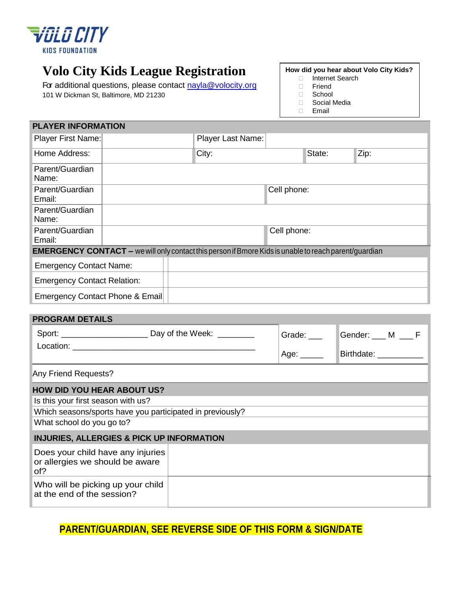

# **Volo City Kids League Registration**

For additional questions, please contact [nayla@volocity.org](mailto:nayla@volocity.org) 101 W Dickman St, Baltimore, MD 21230

### **How did you hear about Volo City Kids?**

- □ Internet Search
- Friend
- School
- Social Media
- Email

| <b>PLAYER INFORMATION</b>                                                                                    |  |                          |             |        |      |  |  |
|--------------------------------------------------------------------------------------------------------------|--|--------------------------|-------------|--------|------|--|--|
| Player First Name:                                                                                           |  | <b>Player Last Name:</b> |             |        |      |  |  |
| Home Address:                                                                                                |  | City:                    |             | State: | Zip: |  |  |
| Parent/Guardian<br>Name:                                                                                     |  |                          |             |        |      |  |  |
| Parent/Guardian<br>Email:                                                                                    |  |                          | Cell phone: |        |      |  |  |
| Parent/Guardian<br>Name:                                                                                     |  |                          |             |        |      |  |  |
| Parent/Guardian<br>Email:                                                                                    |  |                          | Cell phone: |        |      |  |  |
| <b>EMERGENCY CONTACT</b> – we will only contact this person if Bmore Kids is unable to reach parent/guardian |  |                          |             |        |      |  |  |
| <b>Emergency Contact Name:</b>                                                                               |  |                          |             |        |      |  |  |
| <b>Emergency Contact Relation:</b>                                                                           |  |                          |             |        |      |  |  |
| Emergency Contact Phone & Email                                                                              |  |                          |             |        |      |  |  |

#### **PROGRAM DETAILS**

|                                                                                                                                                                   | Grade: ___<br>$^{\mid}$ Age: ______ | Gender: ___ M ___ F<br>Birthdate: <b>Example</b> |  |
|-------------------------------------------------------------------------------------------------------------------------------------------------------------------|-------------------------------------|--------------------------------------------------|--|
| Any Friend Requests?                                                                                                                                              |                                     |                                                  |  |
| <b>HOW DID YOU HEAR ABOUT US?</b><br>Is this your first season with us?<br>Which seasons/sports have you participated in previously?<br>What school do you go to? |                                     |                                                  |  |
| <b>INJURIES, ALLERGIES &amp; PICK UP INFORMATION</b>                                                                                                              |                                     |                                                  |  |
| Does your child have any injuries<br>or allergies we should be aware<br>of?                                                                                       |                                     |                                                  |  |
| Who will be picking up your child<br>at the end of the session?                                                                                                   |                                     |                                                  |  |

## **PARENT/GUARDIAN, SEE REVERSE SIDE OF THIS FORM & SIGN/DATE**